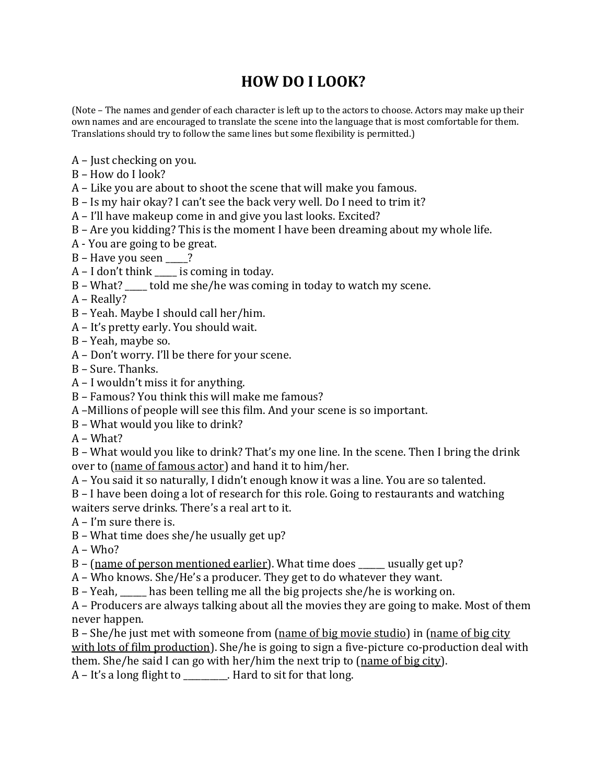## **HOW DO I LOOK?**

(Note – The names and gender of each character is left up to the actors to choose. Actors may make up their own names and are encouraged to translate the scene into the language that is most comfortable for them. Translations should try to follow the same lines but some flexibility is permitted.)

- $A$  Just checking on you.
- B How do I look?
- $A$  Like you are about to shoot the scene that will make you famous.
- B Is my hair okay? I can't see the back very well. Do I need to trim it?
- A I'll have makeup come in and give you last looks. Excited?
- $B$  Are you kidding? This is the moment I have been dreaming about my whole life.
- A You are going to be great.
- $B$  Have you seen  $\frac{ }{ }$ ?
- $A I$  don't think \_\_\_\_\_ is coming in today.
- $B What?$  told me she/he was coming in today to watch my scene.
- A Really?
- B Yeah. Maybe I should call her/him.
- A It's pretty early. You should wait.
- B Yeah, maybe so.
- A Don't worry. I'll be there for your scene.
- B Sure. Thanks.
- $A I$  wouldn't miss it for anything.
- B Famous? You think this will make me famous?
- A -Millions of people will see this film. And your scene is so important.
- B What would you like to drink?
- A What?

 $B$  – What would you like to drink? That's my one line. In the scene. Then I bring the drink over to (name of famous actor) and hand it to him/her.

A - You said it so naturally, I didn't enough know it was a line. You are so talented.

- B I have been doing a lot of research for this role. Going to restaurants and watching waiters serve drinks. There's a real art to it.
- $A I'm$  sure there is.
- $B$  What time does she/he usually get up?

A – Who?

- $B$  (name of person mentioned earlier). What time does \_\_\_\_\_ usually get up?
- A Who knows. She/He's a producer. They get to do whatever they want.

B – Yeah,  $\frac{1}{1-\epsilon}$  has been telling me all the big projects she/he is working on.

A - Producers are always talking about all the movies they are going to make. Most of them never happen.

 $B$  – She/he just met with someone from (name of big movie studio) in (name of big city with lots of film production). She/he is going to sign a five-picture co-production deal with them. She/he said I can go with her/him the next trip to  $(\text{name of big city})$ .

 $A - It's a long flight to$ . Hard to sit for that long.